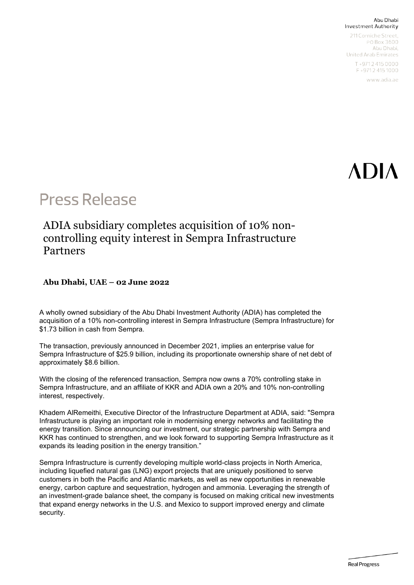#### Abu Dhabi Investment Authority

211 Corniche Street. PO Box 3600 Abu Dhabi, United Arab Emirates T+97124150000 F+97124151000

www.adia.ae

# ADIA

### **Press Release**

### ADIA subsidiary completes acquisition of 10% noncontrolling equity interest in Sempra Infrastructure Partners

#### **Abu Dhabi, UAE – 02 June 2022**

A wholly owned subsidiary of the Abu Dhabi Investment Authority (ADIA) has completed the acquisition of a 10% non-controlling interest in Sempra Infrastructure (Sempra Infrastructure) for \$1.73 billion in cash from Sempra.

The transaction, previously announced in December 2021, implies an enterprise value for Sempra Infrastructure of \$25.9 billion, including its proportionate ownership share of net debt of approximately \$8.6 billion.

With the closing of the referenced transaction, Sempra now owns a 70% controlling stake in Sempra Infrastructure, and an affiliate of KKR and ADIA own a 20% and 10% non-controlling interest, respectively.

Khadem AlRemeithi, Executive Director of the Infrastructure Department at ADIA, said: "Sempra Infrastructure is playing an important role in modernising energy networks and facilitating the energy transition. Since announcing our investment, our strategic partnership with Sempra and KKR has continued to strengthen, and we look forward to supporting Sempra Infrastructure as it expands its leading position in the energy transition."

Sempra Infrastructure is currently developing multiple world-class projects in North America, including liquefied natural gas (LNG) export projects that are uniquely positioned to serve customers in both the Pacific and Atlantic markets, as well as new opportunities in renewable energy, carbon capture and sequestration, hydrogen and ammonia. Leveraging the strength of an investment-grade balance sheet, the company is focused on making critical new investments that expand energy networks in the U.S. and Mexico to support improved energy and climate security.